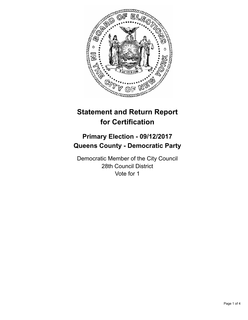

# **Statement and Return Report for Certification**

## **Primary Election - 09/12/2017 Queens County - Democratic Party**

Democratic Member of the City Council 28th Council District Vote for 1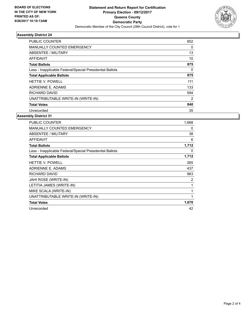

## **Assembly District 24**

| <b>PUBLIC COUNTER</b>                                    | 852            |
|----------------------------------------------------------|----------------|
| <b>MANUALLY COUNTED EMERGENCY</b>                        | 0              |
| ABSENTEE / MILITARY                                      | 13             |
| AFFIDAVIT                                                | 10             |
| <b>Total Ballots</b>                                     | 875            |
| Less - Inapplicable Federal/Special Presidential Ballots | 0              |
| <b>Total Applicable Ballots</b>                          | 875            |
| <b>HETTIE V. POWELL</b>                                  | 111            |
| ADRIENNE E. ADAMS                                        | 133            |
| RICHARD DAVID                                            | 594            |
| UNATTRIBUTABLE WRITE-IN (WRITE-IN)                       | $\overline{2}$ |
| <b>Total Votes</b>                                       | 840            |
| Unrecorded                                               | 35             |

#### **Assembly District 31**

| PUBLIC COUNTER                                           | 1,668        |
|----------------------------------------------------------|--------------|
| <b>MANUALLY COUNTED EMERGENCY</b>                        | 0            |
| ABSENTEE / MILITARY                                      | 38           |
| <b>AFFIDAVIT</b>                                         | 6            |
| <b>Total Ballots</b>                                     | 1,712        |
| Less - Inapplicable Federal/Special Presidential Ballots | 0            |
| <b>Total Applicable Ballots</b>                          | 1,712        |
| HETTIE V. POWELL                                         | 265          |
| ADRIENNE E. ADAMS                                        | 437          |
| RICHARD DAVID                                            | 963          |
| JAHI ROSE (WRITE-IN)                                     | 2            |
| LETITIA JAMES (WRITE-IN)                                 | 1            |
| MIKE SCALA (WRITE-IN)                                    | $\mathbf{1}$ |
| UNATTRIBUTABLE WRITE-IN (WRITE-IN)                       | 1            |
| <b>Total Votes</b>                                       | 1,670        |
| Unrecorded                                               | 42           |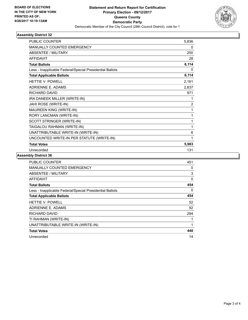

## **Assembly District 32**

| <b>PUBLIC COUNTER</b>                                    | 5,836          |
|----------------------------------------------------------|----------------|
| <b>MANUALLY COUNTED EMERGENCY</b>                        | 0              |
| <b>ABSENTEE / MILITARY</b>                               | 250            |
| <b>AFFIDAVIT</b>                                         | 28             |
| <b>Total Ballots</b>                                     | 6,114          |
| Less - Inapplicable Federal/Special Presidential Ballots | 0              |
| <b>Total Applicable Ballots</b>                          | 6,114          |
| <b>HETTIE V. POWELL</b>                                  | 2,161          |
| <b>ADRIENNE E. ADAMS</b>                                 | 2,837          |
| RICHARD DAVID                                            | 971            |
| IRA DANEEK MILLER (WRITE-IN)                             | 1              |
| JAHI ROSE (WRITE-IN)                                     | $\overline{2}$ |
| MAUREEN KING (WRITE-IN)                                  | 1              |
| RORY LANCMAN (WRITE-IN)                                  | 1              |
| SCOTT STRINGER (WRITE-IN)                                | 1              |
| TAIGALOU RAHMAN (WRITE-IN)                               | 1              |
| UNATTRIBUTABLE WRITE-IN (WRITE-IN)                       | 6              |
| UNCOUNTED WRITE-IN PER STATUTE (WRITE-IN)                | 1              |
| <b>Total Votes</b>                                       | 5,983          |
| Unrecorded                                               | 131            |

## **Assembly District 38**

| <b>PUBLIC COUNTER</b>                                    | 451      |
|----------------------------------------------------------|----------|
| MANUALLY COUNTED EMERGENCY                               | 0        |
| ABSENTEE / MILITARY                                      | 3        |
| AFFIDAVIT                                                | $\Omega$ |
| <b>Total Ballots</b>                                     | 454      |
| Less - Inapplicable Federal/Special Presidential Ballots | 0        |
| <b>Total Applicable Ballots</b>                          | 454      |
| <b>HETTIE V. POWELL</b>                                  | 52       |
| ADRIENNE E. ADAMS                                        | 92       |
| RICHARD DAVID                                            | 294      |
| TI RAHMAN (WRITE-IN)                                     |          |
| UNATTRIBUTABLE WRITE-IN (WRITE-IN)                       |          |
| <b>Total Votes</b>                                       | 440      |
| Unrecorded                                               | 14       |